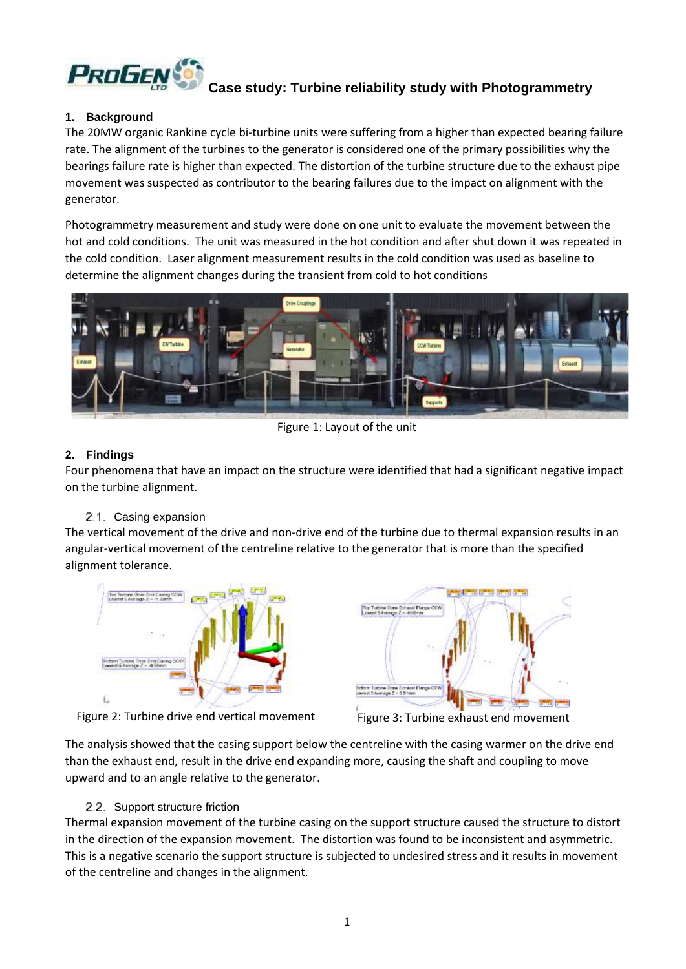

# **Case study: Turbine reliability study with Photogrammetry**

#### **1. Background**

The 20MW organic Rankine cycle bi-turbine units were suffering from a higher than expected bearing failure rate. The alignment of the turbines to the generator is considered one of the primary possibilities why the bearings failure rate is higher than expected. The distortion of the turbine structure due to the exhaust pipe movement was suspected as contributor to the bearing failures due to the impact on alignment with the generator.

Photogrammetry measurement and study were done on one unit to evaluate the movement between the hot and cold conditions. The unit was measured in the hot condition and after shut down it was repeated in the cold condition. Laser alignment measurement results in the cold condition was used as baseline to determine the alignment changes during the transient from cold to hot conditions



Figure 1: Layout of the unit

## **2. Findings**

Four phenomena that have an impact on the structure were identified that had a significant negative impact on the turbine alignment.

#### 2.1. Casing expansion

The vertical movement of the drive and non-drive end of the turbine due to thermal expansion results in an angular-vertical movement of the centreline relative to the generator that is more than the specified alignment tolerance.



Figure 2: Turbine drive end vertical movement Figure 3: Turbine exhaust end movement



The analysis showed that the casing support below the centreline with the casing warmer on the drive end than the exhaust end, result in the drive end expanding more, causing the shaft and coupling to move upward and to an angle relative to the generator.

#### 2.2. Support structure friction

Thermal expansion movement of the turbine casing on the support structure caused the structure to distort in the direction of the expansion movement. The distortion was found to be inconsistent and asymmetric. This is a negative scenario the support structure is subjected to undesired stress and it results in movement of the centreline and changes in the alignment.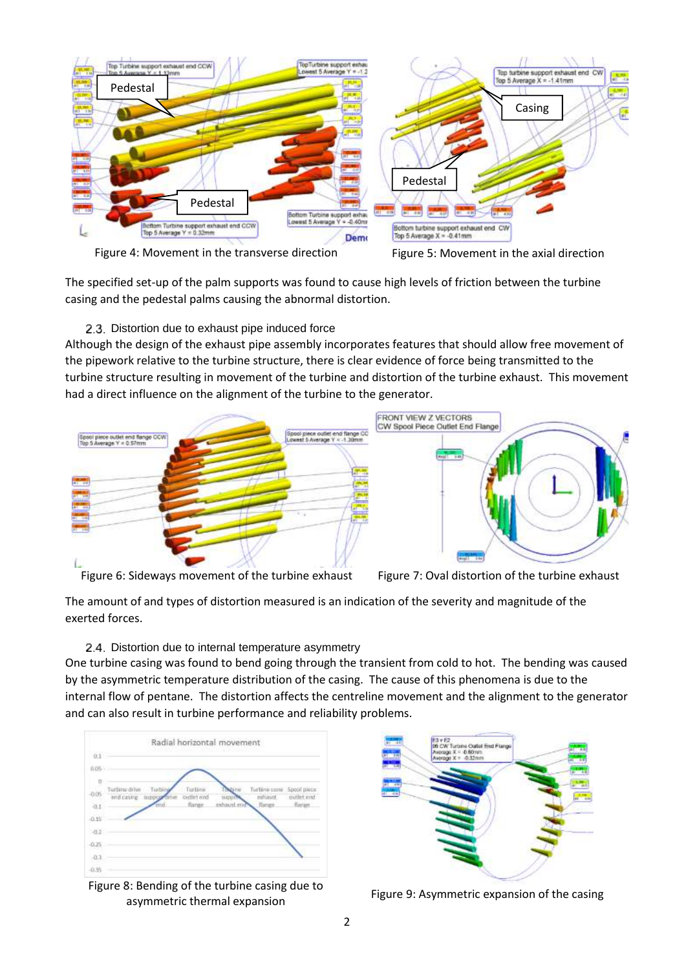

The specified set-up of the palm supports was found to cause high levels of friction between the turbine casing and the pedestal palms causing the abnormal distortion.

# 2.3. Distortion due to exhaust pipe induced force

Although the design of the exhaust pipe assembly incorporates features that should allow free movement of the pipework relative to the turbine structure, there is clear evidence of force being transmitted to the turbine structure resulting in movement of the turbine and distortion of the turbine exhaust. This movement had a direct influence on the alignment of the turbine to the generator.



Figure 6: Sideways movement of the turbine exhaust Figure 7: Oval distortion of the turbine exhaust

The amount of and types of distortion measured is an indication of the severity and magnitude of the exerted forces.

# 2.4. Distortion due to internal temperature asymmetry

One turbine casing was found to bend going through the transient from cold to hot. The bending was caused by the asymmetric temperature distribution of the casing. The cause of this phenomena is due to the internal flow of pentane. The distortion affects the centreline movement and the alignment to the generator and can also result in turbine performance and reliability problems.



Figure 8: Bending of the turbine casing due to as behang of the tarbine easing due to<br>Figure 9: Asymmetric expansion of the casing<br>asymmetric thermal expansion